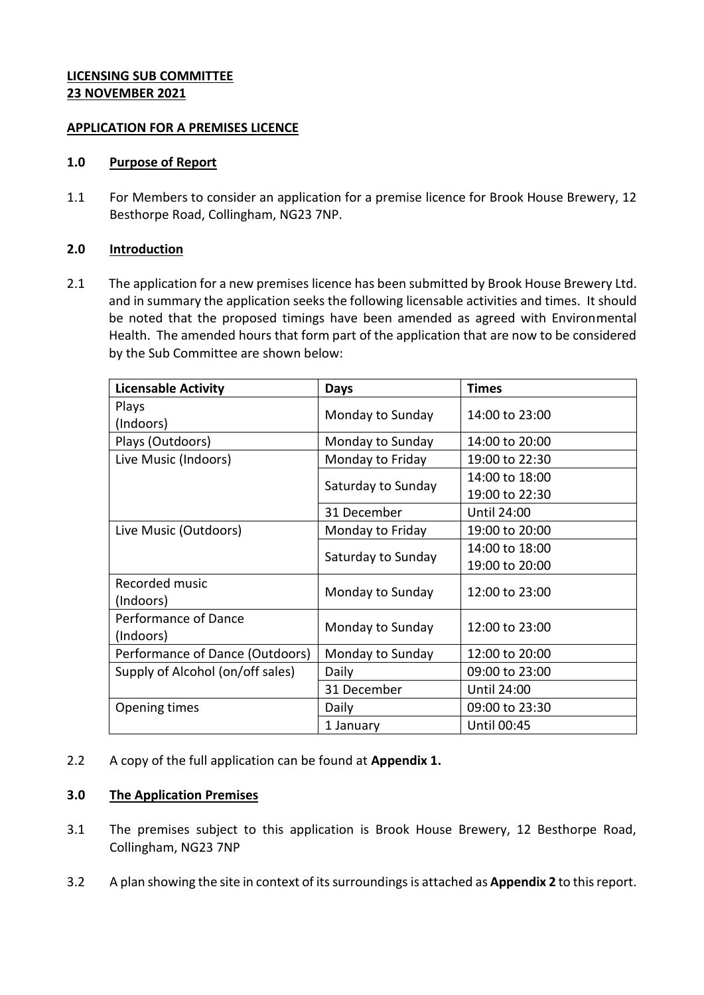# **LICENSING SUB COMMITTEE 23 NOVEMBER 2021**

### **APPLICATION FOR A PREMISES LICENCE**

### **1.0 Purpose of Report**

1.1 For Members to consider an application for a premise licence for Brook House Brewery, 12 Besthorpe Road, Collingham, NG23 7NP.

# **2.0 Introduction**

2.1 The application for a new premises licence has been submitted by Brook House Brewery Ltd. and in summary the application seeks the following licensable activities and times. It should be noted that the proposed timings have been amended as agreed with Environmental Health. The amended hours that form part of the application that are now to be considered by the Sub Committee are shown below:

| <b>Licensable Activity</b>       | Days               | <b>Times</b>       |
|----------------------------------|--------------------|--------------------|
| Plays                            |                    | 14:00 to 23:00     |
| (Indoors)                        | Monday to Sunday   |                    |
| Plays (Outdoors)                 | Monday to Sunday   | 14:00 to 20:00     |
| Live Music (Indoors)             | Monday to Friday   | 19:00 to 22:30     |
|                                  |                    | 14:00 to 18:00     |
|                                  | Saturday to Sunday | 19:00 to 22:30     |
|                                  | 31 December        | <b>Until 24:00</b> |
| Live Music (Outdoors)            | Monday to Friday   | 19:00 to 20:00     |
|                                  |                    | 14:00 to 18:00     |
|                                  | Saturday to Sunday | 19:00 to 20:00     |
| Recorded music                   |                    | 12:00 to 23:00     |
| (Indoors)                        | Monday to Sunday   |                    |
| Performance of Dance             | Monday to Sunday   | 12:00 to 23:00     |
| (Indoors)                        |                    |                    |
| Performance of Dance (Outdoors)  | Monday to Sunday   | 12:00 to 20:00     |
| Supply of Alcohol (on/off sales) | Daily              | 09:00 to 23:00     |
|                                  | 31 December        | <b>Until 24:00</b> |
| Opening times                    | Daily              | 09:00 to 23:30     |
|                                  | 1 January          | Until 00:45        |

2.2 A copy of the full application can be found at **Appendix 1.** 

# **3.0 The Application Premises**

- 3.1 The premises subject to this application is Brook House Brewery, 12 Besthorpe Road, Collingham, NG23 7NP
- 3.2 A plan showing the site in context of its surroundings is attached as **Appendix 2** to this report.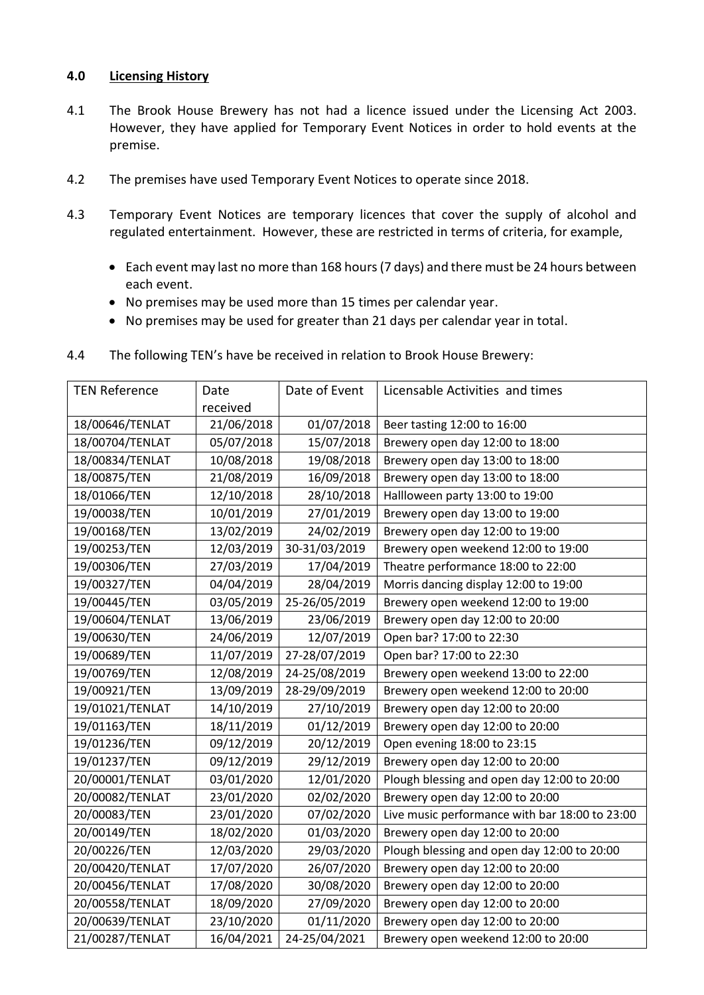# **4.0 Licensing History**

- 4.1 The Brook House Brewery has not had a licence issued under the Licensing Act 2003. However, they have applied for Temporary Event Notices in order to hold events at the premise.
- 4.2 The premises have used Temporary Event Notices to operate since 2018.
- 4.3 Temporary Event Notices are temporary licences that cover the supply of alcohol and regulated entertainment. However, these are restricted in terms of criteria, for example,
	- Each event may last no more than 168 hours (7 days) and there must be 24 hours between each event.
	- No premises may be used more than 15 times per calendar year.
	- No premises may be used for greater than 21 days per calendar year in total.
- 4.4 The following TEN's have be received in relation to Brook House Brewery:

| <b>TEN Reference</b> | Date       | Date of Event | Licensable Activities and times                |
|----------------------|------------|---------------|------------------------------------------------|
|                      | received   |               |                                                |
| 18/00646/TENLAT      | 21/06/2018 | 01/07/2018    | Beer tasting 12:00 to 16:00                    |
| 18/00704/TENLAT      | 05/07/2018 | 15/07/2018    | Brewery open day 12:00 to 18:00                |
| 18/00834/TENLAT      | 10/08/2018 | 19/08/2018    | Brewery open day 13:00 to 18:00                |
| 18/00875/TEN         | 21/08/2019 | 16/09/2018    | Brewery open day 13:00 to 18:00                |
| 18/01066/TEN         | 12/10/2018 | 28/10/2018    | Hallloween party 13:00 to 19:00                |
| 19/00038/TEN         | 10/01/2019 | 27/01/2019    | Brewery open day 13:00 to 19:00                |
| 19/00168/TEN         | 13/02/2019 | 24/02/2019    | Brewery open day 12:00 to 19:00                |
| 19/00253/TEN         | 12/03/2019 | 30-31/03/2019 | Brewery open weekend 12:00 to 19:00            |
| 19/00306/TEN         | 27/03/2019 | 17/04/2019    | Theatre performance 18:00 to 22:00             |
| 19/00327/TEN         | 04/04/2019 | 28/04/2019    | Morris dancing display 12:00 to 19:00          |
| 19/00445/TEN         | 03/05/2019 | 25-26/05/2019 | Brewery open weekend 12:00 to 19:00            |
| 19/00604/TENLAT      | 13/06/2019 | 23/06/2019    | Brewery open day 12:00 to 20:00                |
| 19/00630/TEN         | 24/06/2019 | 12/07/2019    | Open bar? 17:00 to 22:30                       |
| 19/00689/TEN         | 11/07/2019 | 27-28/07/2019 | Open bar? 17:00 to 22:30                       |
| 19/00769/TEN         | 12/08/2019 | 24-25/08/2019 | Brewery open weekend 13:00 to 22:00            |
| 19/00921/TEN         | 13/09/2019 | 28-29/09/2019 | Brewery open weekend 12:00 to 20:00            |
| 19/01021/TENLAT      | 14/10/2019 | 27/10/2019    | Brewery open day 12:00 to 20:00                |
| 19/01163/TEN         | 18/11/2019 | 01/12/2019    | Brewery open day 12:00 to 20:00                |
| 19/01236/TEN         | 09/12/2019 | 20/12/2019    | Open evening 18:00 to 23:15                    |
| 19/01237/TEN         | 09/12/2019 | 29/12/2019    | Brewery open day 12:00 to 20:00                |
| 20/00001/TENLAT      | 03/01/2020 | 12/01/2020    | Plough blessing and open day 12:00 to 20:00    |
| 20/00082/TENLAT      | 23/01/2020 | 02/02/2020    | Brewery open day 12:00 to 20:00                |
| 20/00083/TEN         | 23/01/2020 | 07/02/2020    | Live music performance with bar 18:00 to 23:00 |
| 20/00149/TEN         | 18/02/2020 | 01/03/2020    | Brewery open day 12:00 to 20:00                |
| 20/00226/TEN         | 12/03/2020 | 29/03/2020    | Plough blessing and open day 12:00 to 20:00    |
| 20/00420/TENLAT      | 17/07/2020 | 26/07/2020    | Brewery open day 12:00 to 20:00                |
| 20/00456/TENLAT      | 17/08/2020 | 30/08/2020    | Brewery open day 12:00 to 20:00                |
| 20/00558/TENLAT      | 18/09/2020 | 27/09/2020    | Brewery open day 12:00 to 20:00                |
| 20/00639/TENLAT      | 23/10/2020 | 01/11/2020    | Brewery open day 12:00 to 20:00                |
| 21/00287/TENLAT      | 16/04/2021 | 24-25/04/2021 | Brewery open weekend 12:00 to 20:00            |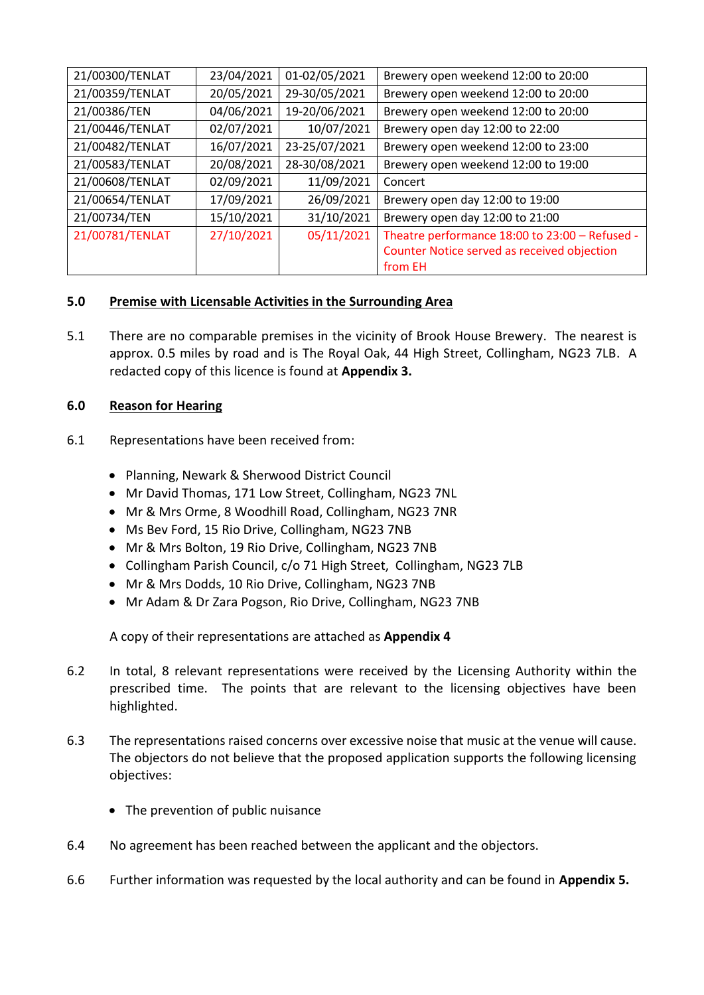| 21/00300/TENLAT | 23/04/2021 | 01-02/05/2021 | Brewery open weekend 12:00 to 20:00            |
|-----------------|------------|---------------|------------------------------------------------|
| 21/00359/TENLAT | 20/05/2021 | 29-30/05/2021 | Brewery open weekend 12:00 to 20:00            |
| 21/00386/TEN    | 04/06/2021 | 19-20/06/2021 | Brewery open weekend 12:00 to 20:00            |
| 21/00446/TENLAT | 02/07/2021 | 10/07/2021    | Brewery open day 12:00 to 22:00                |
| 21/00482/TENLAT | 16/07/2021 | 23-25/07/2021 | Brewery open weekend 12:00 to 23:00            |
| 21/00583/TENLAT | 20/08/2021 | 28-30/08/2021 | Brewery open weekend 12:00 to 19:00            |
| 21/00608/TENLAT | 02/09/2021 | 11/09/2021    | Concert                                        |
| 21/00654/TENLAT | 17/09/2021 | 26/09/2021    | Brewery open day 12:00 to 19:00                |
| 21/00734/TEN    | 15/10/2021 | 31/10/2021    | Brewery open day 12:00 to 21:00                |
| 21/00781/TENLAT | 27/10/2021 | 05/11/2021    | Theatre performance 18:00 to 23:00 - Refused - |
|                 |            |               | Counter Notice served as received objection    |
|                 |            |               | from EH                                        |

# **5.0 Premise with Licensable Activities in the Surrounding Area**

5.1 There are no comparable premises in the vicinity of Brook House Brewery. The nearest is approx. 0.5 miles by road and is The Royal Oak, 44 High Street, Collingham, NG23 7LB. A redacted copy of this licence is found at **Appendix 3.**

# **6.0 Reason for Hearing**

- 6.1 Representations have been received from:
	- Planning, Newark & Sherwood District Council
	- Mr David Thomas, 171 Low Street, Collingham, NG23 7NL
	- Mr & Mrs Orme, 8 Woodhill Road, Collingham, NG23 7NR
	- Ms Bev Ford, 15 Rio Drive, Collingham, NG23 7NB
	- Mr & Mrs Bolton, 19 Rio Drive, Collingham, NG23 7NB
	- Collingham Parish Council, c/o 71 High Street, Collingham, NG23 7LB
	- Mr & Mrs Dodds, 10 Rio Drive, Collingham, NG23 7NB
	- Mr Adam & Dr Zara Pogson, Rio Drive, Collingham, NG23 7NB

A copy of their representations are attached as **Appendix 4**

- 6.2 In total, 8 relevant representations were received by the Licensing Authority within the prescribed time. The points that are relevant to the licensing objectives have been highlighted.
- 6.3 The representations raised concerns over excessive noise that music at the venue will cause. The objectors do not believe that the proposed application supports the following licensing objectives:
	- The prevention of public nuisance
- 6.4 No agreement has been reached between the applicant and the objectors.
- 6.6 Further information was requested by the local authority and can be found in **Appendix 5.**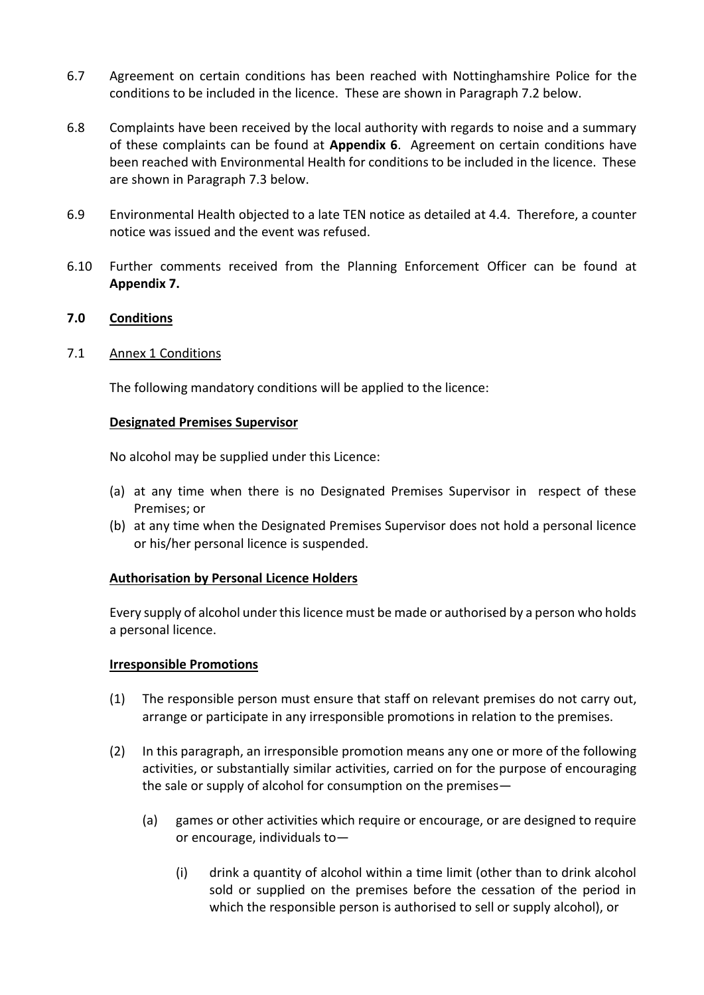- 6.7 Agreement on certain conditions has been reached with Nottinghamshire Police for the conditions to be included in the licence. These are shown in Paragraph 7.2 below.
- 6.8 Complaints have been received by the local authority with regards to noise and a summary of these complaints can be found at **Appendix 6**. Agreement on certain conditions have been reached with Environmental Health for conditions to be included in the licence. These are shown in Paragraph 7.3 below.
- 6.9 Environmental Health objected to a late TEN notice as detailed at 4.4. Therefore, a counter notice was issued and the event was refused.
- 6.10 Further comments received from the Planning Enforcement Officer can be found at **Appendix 7.**

# **7.0 Conditions**

### 7.1 Annex 1 Conditions

The following mandatory conditions will be applied to the licence:

### **Designated Premises Supervisor**

No alcohol may be supplied under this Licence:

- (a) at any time when there is no Designated Premises Supervisor in respect of these Premises; or
- (b) at any time when the Designated Premises Supervisor does not hold a personal licence or his/her personal licence is suspended.

### **Authorisation by Personal Licence Holders**

Every supply of alcohol under this licence must be made or authorised by a person who holds a personal licence.

### **Irresponsible Promotions**

- (1) The responsible person must ensure that staff on relevant premises do not carry out, arrange or participate in any irresponsible promotions in relation to the premises.
- (2) In this paragraph, an irresponsible promotion means any one or more of the following activities, or substantially similar activities, carried on for the purpose of encouraging the sale or supply of alcohol for consumption on the premises—
	- (a) games or other activities which require or encourage, or are designed to require or encourage, individuals to—
		- (i) drink a quantity of alcohol within a time limit (other than to drink alcohol sold or supplied on the premises before the cessation of the period in which the responsible person is authorised to sell or supply alcohol), or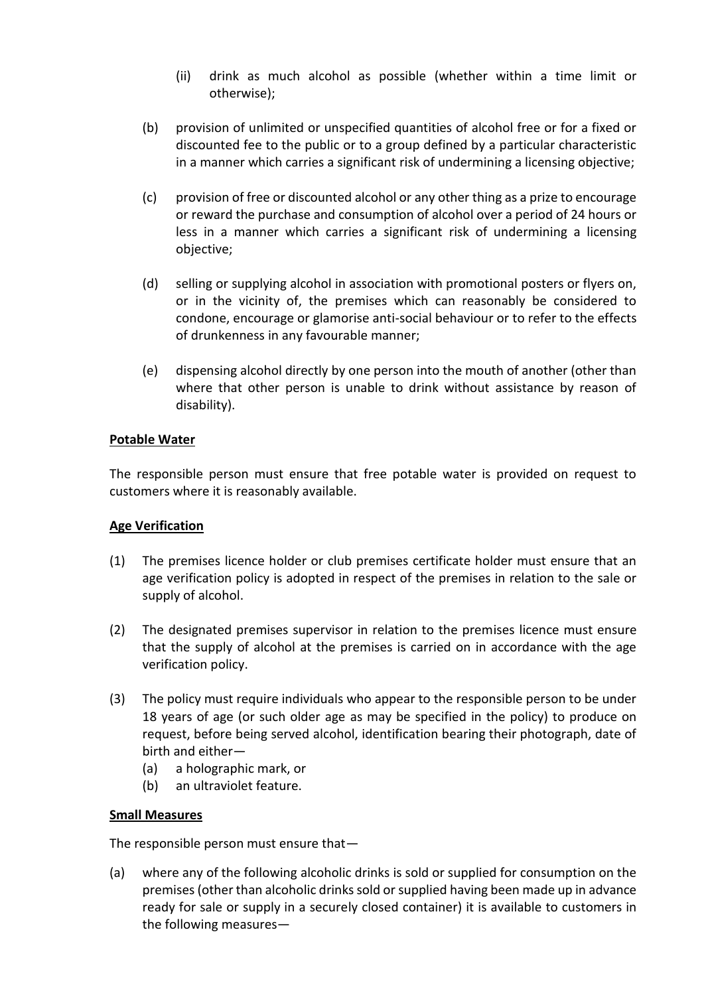- (ii) drink as much alcohol as possible (whether within a time limit or otherwise);
- (b) provision of unlimited or unspecified quantities of alcohol free or for a fixed or discounted fee to the public or to a group defined by a particular characteristic in a manner which carries a significant risk of undermining a licensing objective;
- (c) provision of free or discounted alcohol or any other thing as a prize to encourage or reward the purchase and consumption of alcohol over a period of 24 hours or less in a manner which carries a significant risk of undermining a licensing objective;
- (d) selling or supplying alcohol in association with promotional posters or flyers on, or in the vicinity of, the premises which can reasonably be considered to condone, encourage or glamorise anti-social behaviour or to refer to the effects of drunkenness in any favourable manner;
- (e) dispensing alcohol directly by one person into the mouth of another (other than where that other person is unable to drink without assistance by reason of disability).

# **Potable Water**

The responsible person must ensure that free potable water is provided on request to customers where it is reasonably available.

# **Age Verification**

- (1) The premises licence holder or club premises certificate holder must ensure that an age verification policy is adopted in respect of the premises in relation to the sale or supply of alcohol.
- (2) The designated premises supervisor in relation to the premises licence must ensure that the supply of alcohol at the premises is carried on in accordance with the age verification policy.
- (3) The policy must require individuals who appear to the responsible person to be under 18 years of age (or such older age as may be specified in the policy) to produce on request, before being served alcohol, identification bearing their photograph, date of birth and either—
	- (a) a holographic mark, or
	- (b) an ultraviolet feature.

# **Small Measures**

The responsible person must ensure that—

(a) where any of the following alcoholic drinks is sold or supplied for consumption on the premises (other than alcoholic drinks sold or supplied having been made up in advance ready for sale or supply in a securely closed container) it is available to customers in the following measures—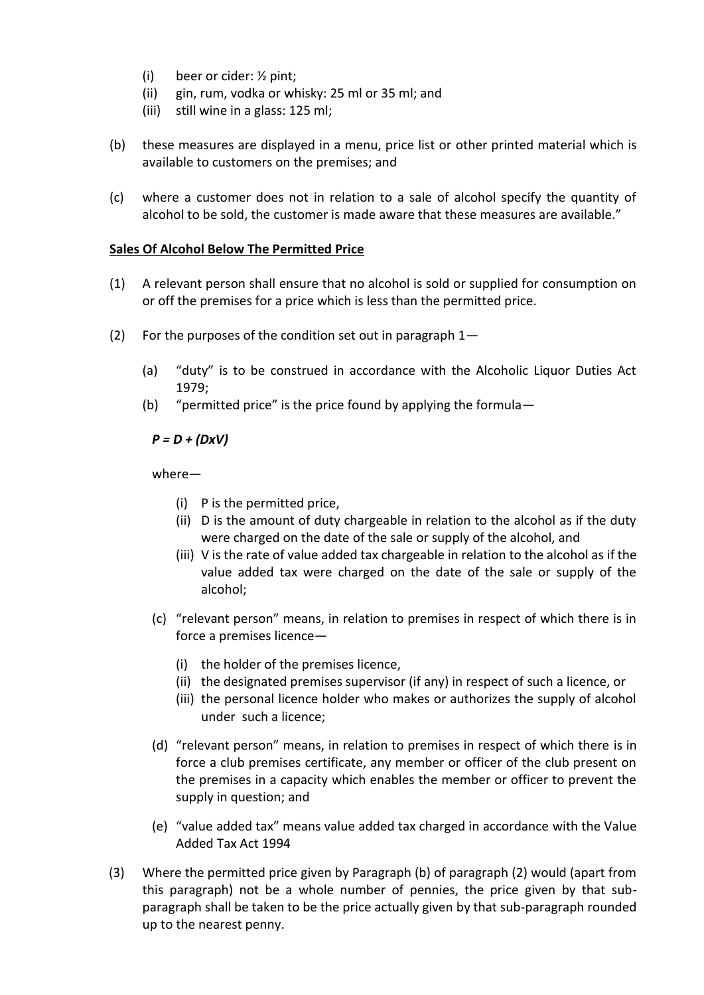- (i) beer or cider: ½ pint;
- (ii) gin, rum, vodka or whisky: 25 ml or 35 ml; and
- (iii) still wine in a glass: 125 ml;
- (b) these measures are displayed in a menu, price list or other printed material which is available to customers on the premises; and
- (c) where a customer does not in relation to a sale of alcohol specify the quantity of alcohol to be sold, the customer is made aware that these measures are available."

# **Sales Of Alcohol Below The Permitted Price**

- (1) A relevant person shall ensure that no alcohol is sold or supplied for consumption on or off the premises for a price which is less than the permitted price.
- (2) For the purposes of the condition set out in paragraph  $1-$ 
	- (a) "duty" is to be construed in accordance with the Alcoholic Liquor Duties Act 1979;
	- (b) "permitted price" is the price found by applying the formula—

# *P = D + (DxV)*

where—

- (i) P is the permitted price,
- (ii) D is the amount of duty chargeable in relation to the alcohol as if the duty were charged on the date of the sale or supply of the alcohol, and
- (iii) V is the rate of value added tax chargeable in relation to the alcohol as if the value added tax were charged on the date of the sale or supply of the alcohol;
- (c) "relevant person" means, in relation to premises in respect of which there is in force a premises licence—
	- (i) the holder of the premises licence,
	- (ii) the designated premises supervisor (if any) in respect of such a licence, or
	- (iii) the personal licence holder who makes or authorizes the supply of alcohol under such a licence;
- (d) "relevant person" means, in relation to premises in respect of which there is in force a club premises certificate, any member or officer of the club present on the premises in a capacity which enables the member or officer to prevent the supply in question; and
- (e) "value added tax" means value added tax charged in accordance with the Value Added Tax Act 1994
- (3) Where the permitted price given by Paragraph (b) of paragraph (2) would (apart from this paragraph) not be a whole number of pennies, the price given by that subparagraph shall be taken to be the price actually given by that sub-paragraph rounded up to the nearest penny.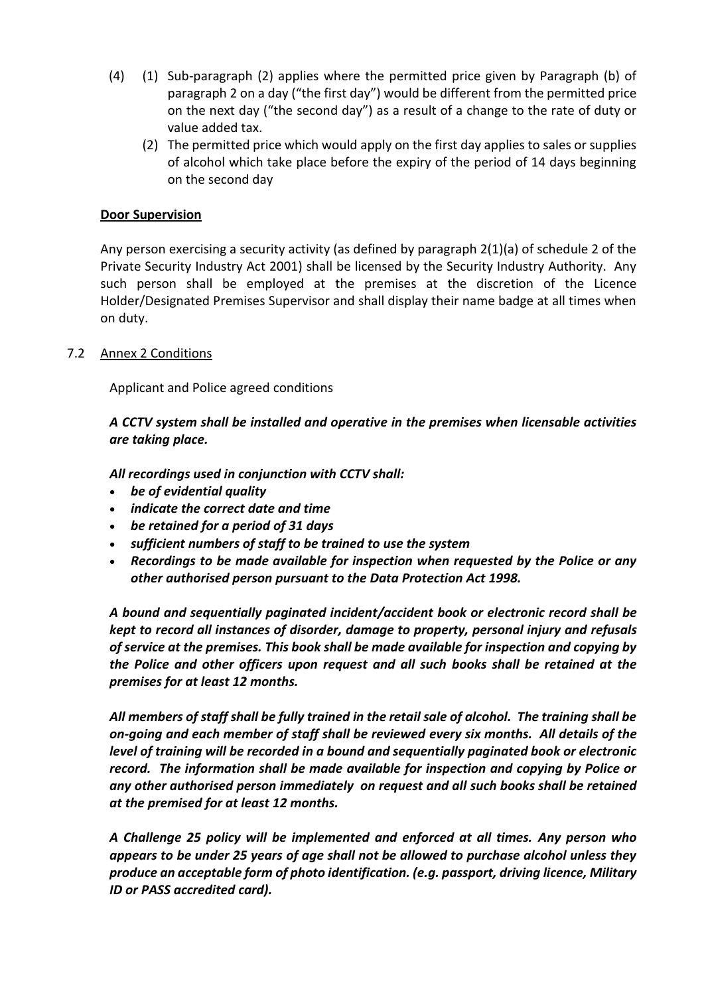- (4) (1) Sub-paragraph (2) applies where the permitted price given by Paragraph (b) of paragraph 2 on a day ("the first day") would be different from the permitted price on the next day ("the second day") as a result of a change to the rate of duty or value added tax.
	- (2) The permitted price which would apply on the first day applies to sales or supplies of alcohol which take place before the expiry of the period of 14 days beginning on the second day

### **Door Supervision**

Any person exercising a security activity (as defined by paragraph 2(1)(a) of schedule 2 of the Private Security Industry Act 2001) shall be licensed by the Security Industry Authority. Any such person shall be employed at the premises at the discretion of the Licence Holder/Designated Premises Supervisor and shall display their name badge at all times when on duty.

### 7.2 Annex 2 Conditions

Applicant and Police agreed conditions

*A CCTV system shall be installed and operative in the premises when licensable activities are taking place.*

*All recordings used in conjunction with CCTV shall:*

- *be of evidential quality*
- *indicate the correct date and time*
- *be retained for a period of 31 days*
- *sufficient numbers of staff to be trained to use the system*
- *Recordings to be made available for inspection when requested by the Police or any other authorised person pursuant to the Data Protection Act 1998.*

*A bound and sequentially paginated incident/accident book or electronic record shall be kept to record all instances of disorder, damage to property, personal injury and refusals of service at the premises. This book shall be made available for inspection and copying by the Police and other officers upon request and all such books shall be retained at the premises for at least 12 months.*

*All members of staff shall be fully trained in the retail sale of alcohol. The training shall be on-going and each member of staff shall be reviewed every six months. All details of the level of training will be recorded in a bound and sequentially paginated book or electronic record. The information shall be made available for inspection and copying by Police or any other authorised person immediately on request and all such books shall be retained at the premised for at least 12 months.*

*A Challenge 25 policy will be implemented and enforced at all times. Any person who appears to be under 25 years of age shall not be allowed to purchase alcohol unless they produce an acceptable form of photo identification. (e.g. passport, driving licence, Military ID or PASS accredited card).*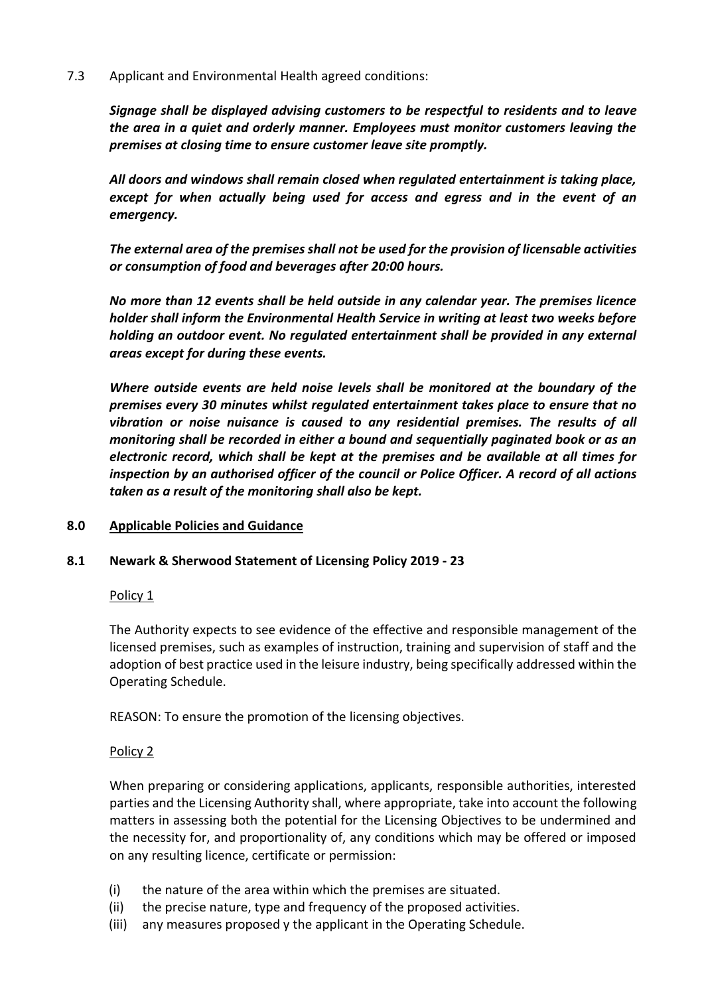# 7.3 Applicant and Environmental Health agreed conditions:

*Signage shall be displayed advising customers to be respectful to residents and to leave the area in a quiet and orderly manner. Employees must monitor customers leaving the premises at closing time to ensure customer leave site promptly.*

*All doors and windows shall remain closed when regulated entertainment is taking place, except for when actually being used for access and egress and in the event of an emergency.*

*The external area of the premises shall not be used for the provision of licensable activities or consumption of food and beverages after 20:00 hours.*

*No more than 12 events shall be held outside in any calendar year. The premises licence holder shall inform the Environmental Health Service in writing at least two weeks before holding an outdoor event. No regulated entertainment shall be provided in any external areas except for during these events.* 

*Where outside events are held noise levels shall be monitored at the boundary of the premises every 30 minutes whilst regulated entertainment takes place to ensure that no vibration or noise nuisance is caused to any residential premises. The results of all monitoring shall be recorded in either a bound and sequentially paginated book or as an electronic record, which shall be kept at the premises and be available at all times for inspection by an authorised officer of the council or Police Officer. A record of all actions taken as a result of the monitoring shall also be kept.*

### **8.0 Applicable Policies and Guidance**

# **8.1 Newark & Sherwood Statement of Licensing Policy 2019 - 23**

### Policy 1

The Authority expects to see evidence of the effective and responsible management of the licensed premises, such as examples of instruction, training and supervision of staff and the adoption of best practice used in the leisure industry, being specifically addressed within the Operating Schedule.

REASON: To ensure the promotion of the licensing objectives.

### Policy 2

When preparing or considering applications, applicants, responsible authorities, interested parties and the Licensing Authority shall, where appropriate, take into account the following matters in assessing both the potential for the Licensing Objectives to be undermined and the necessity for, and proportionality of, any conditions which may be offered or imposed on any resulting licence, certificate or permission:

- (i) the nature of the area within which the premises are situated.
- (ii) the precise nature, type and frequency of the proposed activities.
- (iii) any measures proposed y the applicant in the Operating Schedule.